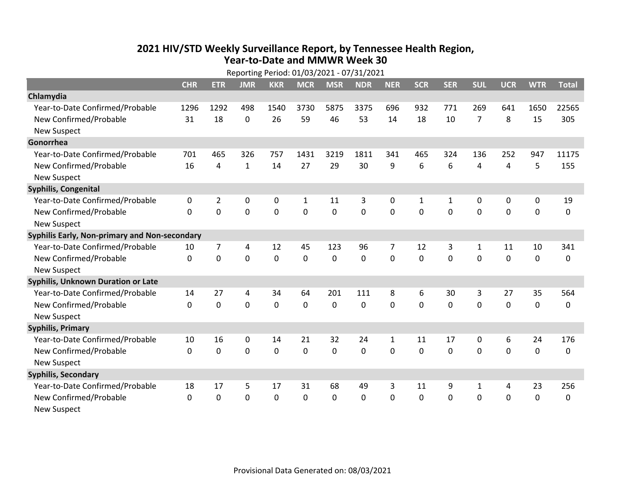## **2021 HIV /STD Weekly Surveillance Report, by Tennessee Health Region, Year‐to‐Date and MMWR Week 30** Reporting Period: 01/03/2021 ‐ 07/31/2021

| Reporting Period: 01/03/2021 - 07/31/2021     |              |                |              |            |              |             |            |              |              |            |              |            |             |              |
|-----------------------------------------------|--------------|----------------|--------------|------------|--------------|-------------|------------|--------------|--------------|------------|--------------|------------|-------------|--------------|
|                                               | <b>CHR</b>   | <b>ETR</b>     | <b>JMR</b>   | <b>KKR</b> | <b>MCR</b>   | <b>MSR</b>  | <b>NDR</b> | <b>NER</b>   | <b>SCR</b>   | <b>SER</b> | <b>SUL</b>   | <b>UCR</b> | <b>WTR</b>  | <b>Total</b> |
| Chlamydia                                     |              |                |              |            |              |             |            |              |              |            |              |            |             |              |
| Year-to-Date Confirmed/Probable               | 1296         | 1292           | 498          | 1540       | 3730         | 5875        | 3375       | 696          | 932          | 771        | 269          | 641        | 1650        | 22565        |
| New Confirmed/Probable                        | 31           | 18             | 0            | 26         | 59           | 46          | 53         | 14           | 18           | 10         | 7            | 8          | 15          | 305          |
| <b>New Suspect</b>                            |              |                |              |            |              |             |            |              |              |            |              |            |             |              |
| Gonorrhea                                     |              |                |              |            |              |             |            |              |              |            |              |            |             |              |
| Year-to-Date Confirmed/Probable               | 701          | 465            | 326          | 757        | 1431         | 3219        | 1811       | 341          | 465          | 324        | 136          | 252        | 947         | 11175        |
| New Confirmed/Probable                        | 16           | 4              | $\mathbf{1}$ | 14         | 27           | 29          | 30         | 9            | 6            | 6          | 4            | 4          | 5           | 155          |
| <b>New Suspect</b>                            |              |                |              |            |              |             |            |              |              |            |              |            |             |              |
| <b>Syphilis, Congenital</b>                   |              |                |              |            |              |             |            |              |              |            |              |            |             |              |
| Year-to-Date Confirmed/Probable               | 0            | $\overline{2}$ | 0            | 0          | $\mathbf{1}$ | 11          | 3          | 0            | $\mathbf{1}$ | 1          | 0            | 0          | 0           | 19           |
| New Confirmed/Probable                        | $\mathbf{0}$ | 0              | 0            | 0          | $\mathbf 0$  | 0           | 0          | $\mathbf 0$  | $\mathbf 0$  | 0          | 0            | 0          | $\mathbf 0$ | 0            |
| <b>New Suspect</b>                            |              |                |              |            |              |             |            |              |              |            |              |            |             |              |
| Syphilis Early, Non-primary and Non-secondary |              |                |              |            |              |             |            |              |              |            |              |            |             |              |
| Year-to-Date Confirmed/Probable               | 10           | 7              | 4            | 12         | 45           | 123         | 96         | 7            | 12           | 3          | 1            | 11         | 10          | 341          |
| New Confirmed/Probable                        | $\Omega$     | 0              | $\Omega$     | 0          | $\mathbf 0$  | $\mathbf 0$ | $\Omega$   | $\Omega$     | $\Omega$     | $\Omega$   | $\Omega$     | $\Omega$   | $\mathbf 0$ | 0            |
| <b>New Suspect</b>                            |              |                |              |            |              |             |            |              |              |            |              |            |             |              |
| <b>Syphilis, Unknown Duration or Late</b>     |              |                |              |            |              |             |            |              |              |            |              |            |             |              |
| Year-to-Date Confirmed/Probable               | 14           | 27             | 4            | 34         | 64           | 201         | 111        | 8            | 6            | 30         | 3            | 27         | 35          | 564          |
| New Confirmed/Probable                        | $\Omega$     | $\mathbf 0$    | 0            | 0          | $\mathbf 0$  | $\mathbf 0$ | $\Omega$   | $\Omega$     | $\Omega$     | $\Omega$   | $\Omega$     | 0          | $\mathbf 0$ | 0            |
| <b>New Suspect</b>                            |              |                |              |            |              |             |            |              |              |            |              |            |             |              |
| <b>Syphilis, Primary</b>                      |              |                |              |            |              |             |            |              |              |            |              |            |             |              |
| Year-to-Date Confirmed/Probable               | 10           | 16             | 0            | 14         | 21           | 32          | 24         | $\mathbf{1}$ | 11           | 17         | 0            | 6          | 24          | 176          |
| New Confirmed/Probable                        | $\Omega$     | 0              | 0            | 0          | $\mathbf 0$  | 0           | $\Omega$   | $\Omega$     | $\Omega$     | $\Omega$   | 0            | $\Omega$   | $\mathbf 0$ | 0            |
| <b>New Suspect</b>                            |              |                |              |            |              |             |            |              |              |            |              |            |             |              |
| <b>Syphilis, Secondary</b>                    |              |                |              |            |              |             |            |              |              |            |              |            |             |              |
| Year-to-Date Confirmed/Probable               | 18           | 17             | 5            | 17         | 31           | 68          | 49         | 3            | 11           | 9          | $\mathbf{1}$ | 4          | 23          | 256          |
| New Confirmed/Probable                        | $\mathbf{0}$ | 0              | 0            | 0          | $\Omega$     | 0           | 0          | $\Omega$     | $\mathbf{0}$ | 0          | 0            | 0          | $\mathbf 0$ | 0            |
| <b>New Suspect</b>                            |              |                |              |            |              |             |            |              |              |            |              |            |             |              |